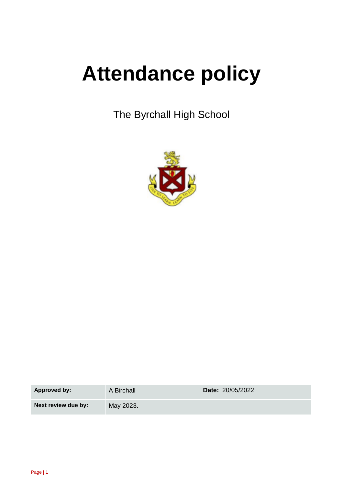# **Attendance policy**

The Byrchall High School



**Approved by:** A Birchall **Date:** 20/05/2022

**Next review due by:** May 2023.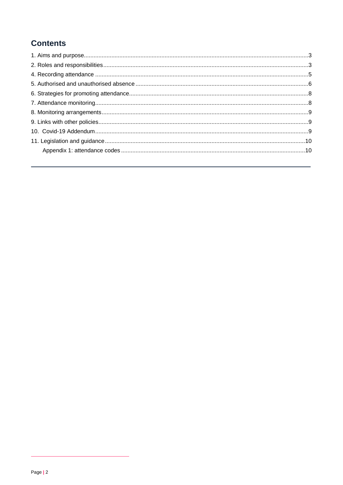## **Contents**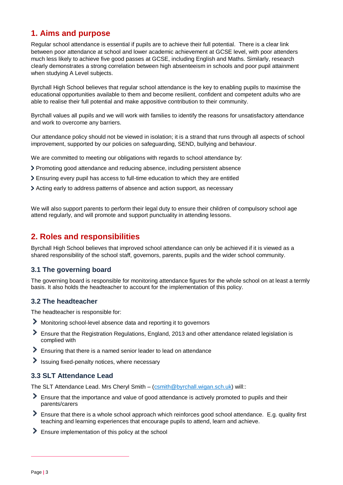## <span id="page-2-0"></span>**1. Aims and purpose**

Regular school attendance is essential if pupils are to achieve their full potential. There is a clear link between poor attendance at school and lower academic achievement at GCSE level, with poor attenders much less likely to achieve five good passes at GCSE, including English and Maths. Similarly, research clearly demonstrates a strong correlation between high absenteeism in schools and poor pupil attainment when studying A Level subjects.

Byrchall High School believes that regular school attendance is the key to enabling pupils to maximise the educational opportunities available to them and become resilient, confident and competent adults who are able to realise their full potential and make appositive contribution to their community.

Byrchall values all pupils and we will work with families to identify the reasons for unsatisfactory attendance and work to overcome any barriers.

Our attendance policy should not be viewed in isolation; it is a strand that runs through all aspects of school improvement, supported by our policies on safeguarding, SEND, bullying and behaviour.

We are committed to meeting our obligations with regards to school attendance by:

- Promoting good attendance and reducing absence, including persistent absence
- Ensuring every pupil has access to full-time education to which they are entitled
- Acting early to address patterns of absence and action support, as necessary

We will also support parents to perform their legal duty to ensure their children of compulsory school age attend regularly, and will promote and support punctuality in attending lessons.

## <span id="page-2-1"></span>**2. Roles and responsibilities**

Byrchall High School believes that improved school attendance can only be achieved if it is viewed as a shared responsibility of the school staff, governors, parents, pupils and the wider school community.

#### **3.1 The governing board**

The governing board is responsible for monitoring attendance figures for the whole school on at least a termly basis. It also holds the headteacher to account for the implementation of this policy.

#### **3.2 The headteacher**

The headteacher is responsible for:

- Monitoring school-level absence data and reporting it to governors
- Ensure that the Registration Regulations, England, 2013 and other attendance related legislation is complied with
- Ensuring that there is a named senior leader to lead on attendance
- $\blacktriangleright$  Issuing fixed-penalty notices, where necessary

#### **3.3 SLT Attendance Lead**

The SLT Attendance Lead. Mrs Cheryl Smith – [\(csmith@byrchall.wigan.sch.uk\)](mailto:csmith@byrchall.wigan.sch.uk) will::

- Ensure that the importance and value of good attendance is actively promoted to pupils and their parents/carers
- Ensure that there is a whole school approach which reinforces good school attendance. E.g. quality first teaching and learning experiences that encourage pupils to attend, learn and achieve.
- **Ensure implementation of this policy at the school**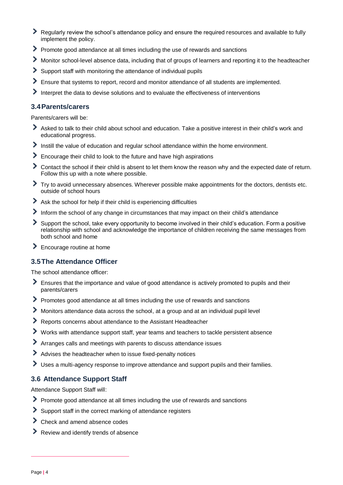- ≻ Regularly review the school's attendance policy and ensure the required resources and available to fully implement the policy.
- Promote good attendance at all times including the use of rewards and sanctions
- Monitor school-level absence data, including that of groups of learners and reporting it to the headteacher
- ≻ Support staff with monitoring the attendance of individual pupils
- ≻ Ensure that systems to report, record and monitor attendance of all students are implemented.
- Interpret the data to devise solutions and to evaluate the effectiveness of interventions

#### **3.4Parents/carers**

Parents/carers will be:

- Asked to talk to their child about school and education. Take a positive interest in their child's work and educational progress.
- $\blacktriangleright$  Instill the value of education and regular school attendance within the home environment.
- Encourage their child to look to the future and have high aspirations
- Contact the school if their child is absent to let them know the reason why and the expected date of return. Follow this up with a note where possible.
- Try to avoid unnecessary absences. Wherever possible make appointments for the doctors, dentists etc. outside of school hours
- Ask the school for help if their child is experiencing difficulties
- Inform the school of any change in circumstances that may impact on their child's attendance
- Support the school, take every opportunity to become involved in their child's education. Form a positive relationship with school and acknowledge the importance of children receiving the same messages from both school and home
- **Encourage routine at home**

#### **3.5The Attendance Officer**

The school attendance officer:

- Ensures that the importance and value of good attendance is actively promoted to pupils and their parents/carers
- Promotes good attendance at all times including the use of rewards and sanctions
- Monitors attendance data across the school, at a group and at an individual pupil level
- Reports concerns about attendance to the Assistant Headteacher
- Works with attendance support staff, year teams and teachers to tackle persistent absence
- Arranges calls and meetings with parents to discuss attendance issues
- Advises the headteacher when to issue fixed-penalty notices
- Uses a multi-agency response to improve attendance and support pupils and their families.

#### **3.6 Attendance Support Staff**

Attendance Support Staff will:

- Promote good attendance at all times including the use of rewards and sanctions
- Support staff in the correct marking of attendance registers
- ▶ Check and amend absence codes
- Review and identify trends of absence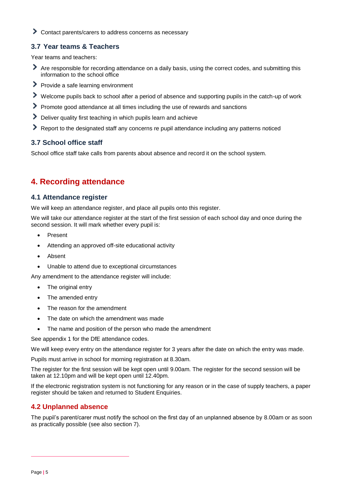Contact parents/carers to address concerns as necessary

#### **3.7 Year teams & Teachers**

Year teams and teachers:

- Are responsible for recording attendance on a daily basis, using the correct codes, and submitting this information to the school office
- Provide a safe learning environment
- Welcome pupils back to school after a period of absence and supporting pupils in the catch-up of work
- Promote good attendance at all times including the use of rewards and sanctions
- Deliver quality first teaching in which pupils learn and achieve
- Report to the designated staff any concerns re pupil attendance including any patterns noticed

#### **3.7 School office staff**

School office staff take calls from parents about absence and record it on the school system.

## <span id="page-4-0"></span>**4. Recording attendance**

#### **4.1 Attendance register**

We will keep an attendance register, and place all pupils onto this register.

We will take our attendance register at the start of the first session of each school day and once during the second session. It will mark whether every pupil is:

- Present
- Attending an approved off-site educational activity
- Absent
- Unable to attend due to exceptional circumstances

Any amendment to the attendance register will include:

- The original entry
- The amended entry
- The reason for the amendment
- The date on which the amendment was made
- The name and position of the person who made the amendment

See appendix 1 for the DfE attendance codes.

We will keep every entry on the attendance register for 3 years after the date on which the entry was made.

Pupils must arrive in school for morning registration at 8.30am.

The register for the first session will be kept open until 9.00am. The register for the second session will be taken at 12.10pm and will be kept open until 12.40pm.

If the electronic registration system is not functioning for any reason or in the case of supply teachers, a paper register should be taken and returned to Student Enquiries.

## **4.2 Unplanned absence**

The pupil's parent/carer must notify the school on the first day of an unplanned absence by 8.00am or as soon as practically possible (see also section 7).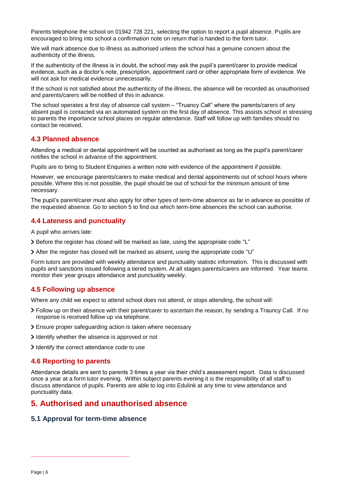Parents telephone the school on 01942 728 221, selecting the option to report a pupil absence. Pupils are encouraged to bring into school a confirmation note on return that is handed to the form tutor.

We will mark absence due to illness as authorised unless the school has a genuine concern about the authenticity of the illness.

If the authenticity of the illness is in doubt, the school may ask the pupil's parent/carer to provide medical evidence, such as a doctor's note, prescription, appointment card or other appropriate form of evidence. We will not ask for medical evidence unnecessarily.

If the school is not satisfied about the authenticity of the illness, the absence will be recorded as unauthorised and parents/carers will be notified of this in advance.

The school operates a first day of absence call system – "Truancy Call" where the parents/carers of any absent pupil is contacted via an automated system on the first day of absence. This assists school in stressing to parents the importance school places on regular attendance. Staff will follow up with families should no contact be received.

#### **4.3 Planned absence**

Attending a medical or dental appointment will be counted as authorised as long as the pupil's parent/carer notifies the school in advance of the appointment.

Pupils are to bring to Student Enquiries a written note with evidence of the appointment if possible.

However, we encourage parents/carers to make medical and dental appointments out of school hours where possible. Where this is not possible, the pupil should be out of school for the minimum amount of time necessary.

The pupil's parent/carer must also apply for other types of term-time absence as far in advance as possible of the requested absence. Go to section 5 to find out which term-time absences the school can authorise.

#### **4.4 Lateness and punctuality**

A pupil who arrives late:

- $\triangleright$  Before the register has closed will be marked as late, using the appropriate code "L"
- After the register has closed will be marked as absent, using the appropriate code "U"

Form tutors are provided with weekly attendance and punctuality statistic information. This is discussed with pupils and sanctions issued following a tiered system. At all stages parents/carers are informed. Year teams monitor their year groups attendance and punctuality weekly.

#### **4.5 Following up absence**

Where any child we expect to attend school does not attend, or stops attending, the school will:

- Follow up on their absence with their parent/carer to ascertain the reason, by sending a Trauncy Call. If no response is received follow up via telephone.
- Ensure proper safeguarding action is taken where necessary
- I dentify whether the absence is approved or not
- I dentify the correct attendance code to use

#### **4.6 Reporting to parents**

Attendance details are sent to parents 3 times a year via their child's assessment report. Data is discussed once a year at a form tutor evening. Within subject parents evening it is the responsibility of all staff to discuss attendance of pupils. Parents are able to log into Edulink at any time to view attendance and punctuality data.

## <span id="page-5-0"></span>**5. Authorised and unauthorised absence**

#### **5.1 Approval for term-time absence**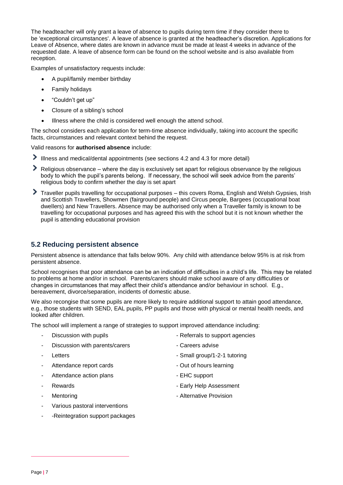The headteacher will only grant a leave of absence to pupils during term time if they consider there to be 'exceptional circumstances'. A leave of absence is granted at the headteacher's discretion. Applications for Leave of Absence, where dates are known in advance must be made at least 4 weeks in advance of the requested date. A leave of absence form can be found on the school website and is also available from reception.

Examples of unsatisfactory requests include:

- A pupil/family member birthday
- Family holidays
- "Couldn't get up"
- Closure of a sibling's school
- Illness where the child is considered well enough the attend school.

The school considers each application for term-time absence individually, taking into account the specific facts, circumstances and relevant context behind the request.

Valid reasons for **authorised absence** include:

- Illness and medical/dental appointments (see sections 4.2 and 4.3 for more detail)
- Religious observance where the day is exclusively set apart for religious observance by the religious body to which the pupil's parents belong. If necessary, the school will seek advice from the parents' religious body to confirm whether the day is set apart
- Traveller pupils travelling for occupational purposes this covers Roma, English and Welsh Gypsies, Irish and Scottish Travellers, Showmen (fairground people) and Circus people, Bargees (occupational boat dwellers) and New Travellers. Absence may be authorised only when a Traveller family is known to be travelling for occupational purposes and has agreed this with the school but it is not known whether the pupil is attending educational provision

## **5.2 Reducing persistent absence**

Persistent absence is attendance that falls below 90%. Any child with attendance below 95% is at risk from persistent absence.

School recognises that poor attendance can be an indication of difficulties in a child's life. This may be related to problems at home and/or in school. Parents/carers should make school aware of any difficulties or changes in circumstances that may affect their child's attendance and/or behaviour in school. E.g., bereavement, divorce/separation, incidents of domestic abuse.

We also recongise that some pupils are more likely to require additional support to attain good attendance, e.g., those students with SEND, EAL pupils, PP pupils and those with physical or mental health needs, and looked after children.

The school will implement a range of strategies to support improved attendance including:

- 
- Discussion with parents/carers Careers advise
- 
- Attendance report cards **Attendance** report cards **Attendance** report cards
- Attendance action plans EHC support
- 
- 
- Various pastoral interventions
- -Reintegration support packages
- Discussion with pupils **Container and Separate Section** Referrals to support agencies
	-
	- Letters  **Small group/1-2-1 tutoring** 
		-
		-
	- Rewards  **Rewards** Early Help Assessment
- Mentoring **Manual Accord Accord Accord Accord Accord Accord Accord Accord Accord Accord Accord Accord Accord Accord Accord Accord Accord Accord Accord Accord Accord Accord Accord Accord Accord Accord Accord Accord Accord**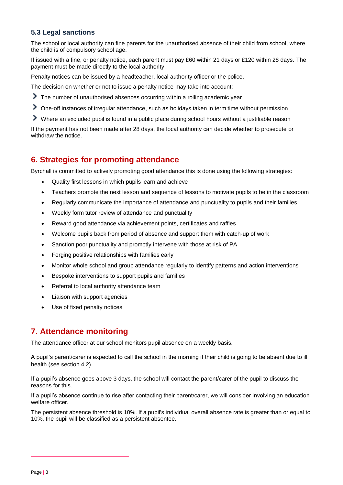## **5.3 Legal sanctions**

The school or local authority can fine parents for the unauthorised absence of their child from school, where the child is of compulsory school age.

If issued with a fine, or penalty notice, each parent must pay £60 within 21 days or £120 within 28 days. The payment must be made directly to the local authority.

Penalty notices can be issued by a headteacher, local authority officer or the police.

The decision on whether or not to issue a penalty notice may take into account:

- The number of unauthorised absences occurring within a rolling academic year
- One-off instances of irregular attendance, such as holidays taken in term time without permission
- Where an excluded pupil is found in a public place during school hours without a justifiable reason

If the payment has not been made after 28 days, the local authority can decide whether to prosecute or withdraw the notice.

## <span id="page-7-0"></span>**6. Strategies for promoting attendance**

Byrchall is committed to actively promoting good attendance this is done using the following strategies:

- Quality first lessons in which pupils learn and achieve
- Teachers promote the next lesson and sequence of lessons to motivate pupils to be in the classroom
- Regularly communicate the importance of attendance and punctuality to pupils and their families
- Weekly form tutor review of attendance and punctuality
- Reward good attendance via achievement points, certificates and raffles
- Welcome pupils back from period of absence and support them with catch-up of work
- Sanction poor punctuality and promptly intervene with those at risk of PA
- Forging positive relationships with families early
- Monitor whole school and group attendance regularly to identify patterns and action interventions
- Bespoke interventions to support pupils and families
- Referral to local authority attendance team
- Liaison with support agencies
- Use of fixed penalty notices

## <span id="page-7-1"></span>**7. Attendance monitoring**

The attendance officer at our school monitors pupil absence on a weekly basis.

A pupil's parent/carer is expected to call the school in the morning if their child is going to be absent due to ill health (see section 4.2).

If a pupil's absence goes above 3 days, the school will contact the parent/carer of the pupil to discuss the reasons for this.

If a pupil's absence continue to rise after contacting their parent/carer, we will consider involving an education welfare officer.

The persistent absence threshold is 10%. If a pupil's individual overall absence rate is greater than or equal to 10%, the pupil will be classified as a persistent absentee.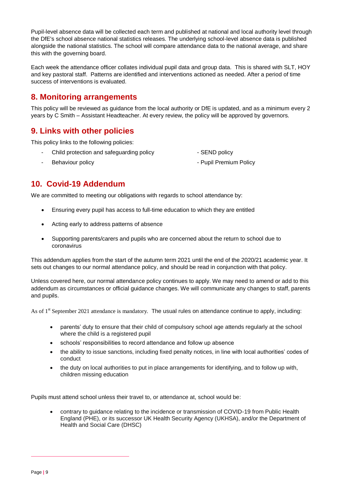Pupil-level absence data will be collected each term and published at national and local authority level through the DfE's school absence national statistics releases. The underlying school-level absence data is published alongside the national statistics. The school will compare attendance data to the national average, and share this with the governing board.

Each week the attendance officer collates individual pupil data and group data. This is shared with SLT, HOY and key pastoral staff. Patterns are identified and interventions actioned as needed. After a period of time success of interventions is evaluated.

## <span id="page-8-0"></span>**8. Monitoring arrangements**

This policy will be reviewed as guidance from the local authority or DfE is updated, and as a minimum every 2 years by C Smith – Assistant Headteacher. At every review, the policy will be approved by governors.

## <span id="page-8-1"></span>**9. Links with other policies**

This policy links to the following policies:

- Child protection and safeguarding policy  **SEND** policy
- Behaviour policy  **Pupil Premium Policy**

## <span id="page-8-2"></span>**10. Covid-19 Addendum**

We are committed to meeting our obligations with regards to school attendance by:

- Ensuring every pupil has access to full-time education to which they are entitled
- Acting early to address patterns of absence
- Supporting parents/carers and pupils who are concerned about the return to school due to coronavirus

This addendum applies from the start of the autumn term 2021 until the end of the 2020/21 academic year. It sets out changes to our normal attendance policy, and should be read in conjunction with that policy.

Unless covered here, our normal attendance policy continues to apply. We may need to amend or add to this addendum as circumstances or official guidance changes. We will communicate any changes to staff, parents and pupils.

As of 1<sup>st</sup> September 2021 attendance is mandatory. The usual rules on attendance continue to apply, including:

- parents' duty to ensure that their child of compulsory school age attends regularly at the school where the child is a registered pupil
- schools' responsibilities to record attendance and follow up absence
- the ability to issue sanctions, including fixed penalty notices, in line with local authorities' codes of conduct
- the duty on local authorities to put in place arrangements for identifying, and to follow up with, children missing education

Pupils must attend school unless their travel to, or attendance at, school would be:

 contrary to guidance relating to the incidence or transmission of COVID-19 from Public Health England (PHE), or its successor UK Health Security Agency (UKHSA), and/or the Department of Health and Social Care (DHSC)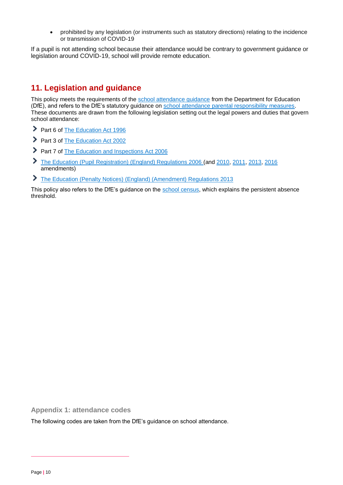prohibited by any legislation (or instruments such as statutory directions) relating to the incidence or transmission of COVID-19

If a pupil is not attending school because their attendance would be contrary to government guidance or legislation around COVID-19, school will provide remote education.

## <span id="page-9-0"></span>**11. Legislation and guidance**

This policy meets the requirements of the school attendance quidance from the Department for Education (DfE), and refers to the DfE's statutory guidance on [school attendance parental responsibility measures.](https://www.gov.uk/government/publications/parental-responsibility-measures-for-behaviour-and-attendance) These documents are drawn from the following legislation setting out the legal powers and duties that govern school attendance:

- Part 6 of [The Education Act 1996](https://www.legislation.gov.uk/ukpga/1996/56/part/VI/chapter/II)
- Part 3 of [The Education Act 2002](http://www.legislation.gov.uk/ukpga/2002/32/part/3/chapter/3)
- Part 7 of [The Education and Inspections Act 2006](http://www.legislation.gov.uk/ukpga/2006/40/part/7/chapter/2/crossheading/school-attendance)
- [The Education \(Pupil Registration\) \(England\) Regulations 2006](http://www.legislation.gov.uk/uksi/2006/1751/contents/made) (and [2010,](https://www.legislation.gov.uk/uksi/2010/1725/regulation/2/made) [2011,](https://www.legislation.gov.uk/uksi/2011/1625/made) [2013,](https://www.legislation.gov.uk/uksi/2013/756/made) [2016](https://www.legislation.gov.uk/uksi/2016/792/made/data.html) amendments)
- [The Education \(Penalty Notices\) \(England\) \(Amendment\) Regulations 2013](https://www.legislation.gov.uk/uksi/2013/757/regulation/2/made)

This policy also refers to the DfE's quidance on the [school census,](https://www.gov.uk/guidance/complete-the-school-census) which explains the persistent absence threshold.

<span id="page-9-1"></span>**Appendix 1: attendance codes** 

The following codes are taken from the DfE's guidance on school attendance.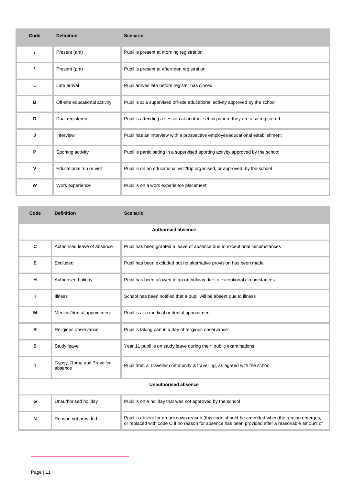| Code | <b>Definition</b>             | <b>Scenario</b>                                                                 |
|------|-------------------------------|---------------------------------------------------------------------------------|
|      | Present (am)                  | Pupil is present at morning registration                                        |
|      | Present (pm)                  | Pupil is present at afternoon registration                                      |
| L    | Late arrival                  | Pupil arrives late before register has closed                                   |
| в    | Off-site educational activity | Pupil is at a supervised off-site educational activity approved by the school   |
| D    | Dual registered               | Pupil is attending a session at another setting where they are also registered  |
| J    | Interview                     | Pupil has an interview with a prospective employer/educational establishment    |
| P    | Sporting activity             | Pupil is participating in a supervised sporting activity approved by the school |
| V    | Educational trip or visit     | Pupil is on an educational visit/trip organised, or approved, by the school     |
| W    | Work experience               | Pupil is on a work experience placement                                         |

| Code                        | <b>Definition</b>                    | <b>Scenario</b>                                                                                                                                                                                |  |  |
|-----------------------------|--------------------------------------|------------------------------------------------------------------------------------------------------------------------------------------------------------------------------------------------|--|--|
| <b>Authorised absence</b>   |                                      |                                                                                                                                                                                                |  |  |
| C                           | Authorised leave of absence          | Pupil has been granted a leave of absence due to exceptional circumstances                                                                                                                     |  |  |
| Е                           | Excluded                             | Pupil has been excluded but no alternative provision has been made                                                                                                                             |  |  |
| н                           | Authorised holiday                   | Pupil has been allowed to go on holiday due to exceptional circumstances                                                                                                                       |  |  |
| т                           | <b>Illness</b>                       | School has been notified that a pupil will be absent due to illness                                                                                                                            |  |  |
| М                           | Medical/dental appointment           | Pupil is at a medical or dental appointment                                                                                                                                                    |  |  |
| $\mathsf{R}$                | Religious observance                 | Pupil is taking part in a day of religious observance                                                                                                                                          |  |  |
| s                           | Study leave                          | Year 11 pupil is on study leave during their public examinations                                                                                                                               |  |  |
| T                           | Gypsy, Roma and Traveller<br>absence | Pupil from a Traveller community is travelling, as agreed with the school                                                                                                                      |  |  |
| <b>Unauthorised absence</b> |                                      |                                                                                                                                                                                                |  |  |
| G                           | Unauthorised holiday                 | Pupil is on a holiday that was not approved by the school                                                                                                                                      |  |  |
| N                           | Reason not provided                  | Pupil is absent for an unknown reason (this code should be amended when the reason emerges,<br>or replaced with code O if no reason for absence has been provided after a reasonable amount of |  |  |